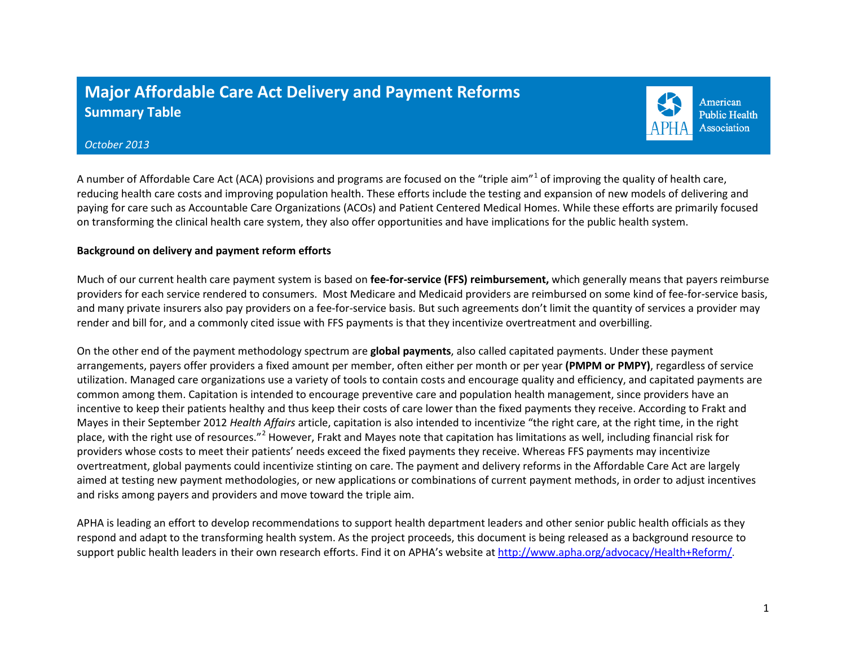## **Major Affordable Care Act Delivery and Payment Reforms Summary Table**



## *October 2013*

A number of Affordable Care Act (ACA) provisions and programs are focused on the "triple aim"<sup>[1](#page-5-0)</sup> of improving the quality of health care, reducing health care costs and improving population health. These efforts include the testing and expansion of new models of delivering and paying for care such as Accountable Care Organizations (ACOs) and Patient Centered Medical Homes. While these efforts are primarily focused on transforming the clinical health care system, they also offer opportunities and have implications for the public health system.

## **Background on delivery and payment reform efforts**

Much of our current health care payment system is based on **fee-for-service (FFS) reimbursement,** which generally means that payers reimburse providers for each service rendered to consumers. Most Medicare and Medicaid providers are reimbursed on some kind of fee-for-service basis, and many private insurers also pay providers on a fee-for-service basis. But such agreements don't limit the quantity of services a provider may render and bill for, and a commonly cited issue with FFS payments is that they incentivize overtreatment and overbilling.

On the other end of the payment methodology spectrum are **global payments**, also called capitated payments. Under these payment arrangements, payers offer providers a fixed amount per member, often either per month or per year **(PMPM or PMPY)**, regardless of service utilization. Managed care organizations use a variety of tools to contain costs and encourage quality and efficiency, and capitated payments are common among them. Capitation is intended to encourage preventive care and population health management, since providers have an incentive to keep their patients healthy and thus keep their costs of care lower than the fixed payments they receive. According to Frakt and Mayes in their September 2012 *Health Affairs* article, capitation is also intended to incentivize "the right care, at the right time, in the right place, with the right use of resources."<sup>[2](#page-5-1)</sup> However, Frakt and Mayes note that capitation has limitations as well, including financial risk for providers whose costs to meet their patients' needs exceed the fixed payments they receive. Whereas FFS payments may incentivize overtreatment, global payments could incentivize stinting on care. The payment and delivery reforms in the Affordable Care Act are largely aimed at testing new payment methodologies, or new applications or combinations of current payment methods, in order to adjust incentives and risks among payers and providers and move toward the triple aim.

APHA is leading an effort to develop recommendations to support health department leaders and other senior public health officials as they respond and adapt to the transforming health system. As the project proceeds, this document is being released as a background resource to support public health leaders in their own research efforts. Find it on APHA's website at [http://www.apha.org/advocacy/Health+Reform/.](http://www.apha.org/advocacy/Health+Reform/)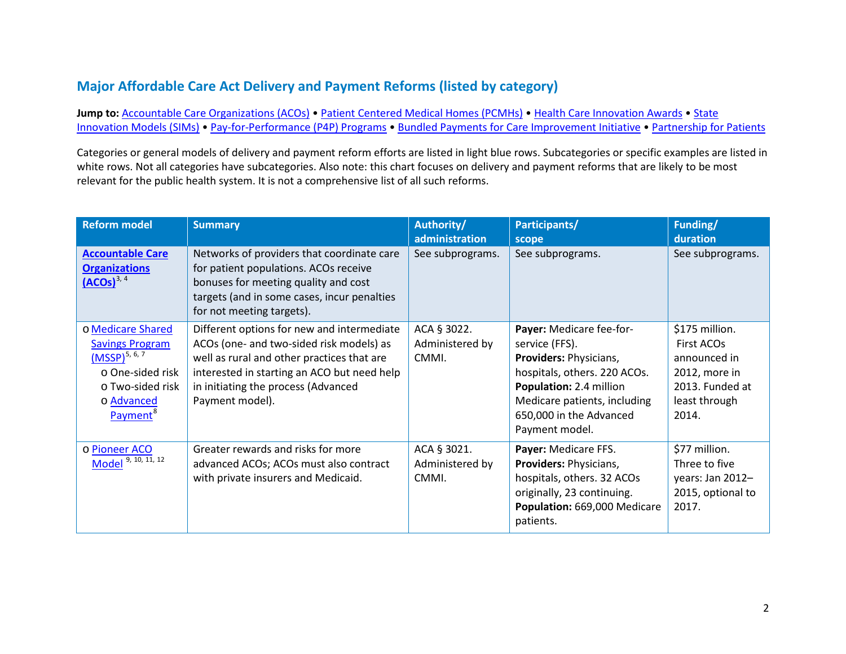## **Major Affordable Care Act Delivery and Payment Reforms (listed by category)**

Jump to: [Accountable Care Organizations \(ACOs\)](#page-1-0) • [Patient Centered Medical Homes \(PCMHs\)](#page-2-0) • Health [Care Innovation Awards](#page-3-0) • State [Innovation Models \(SIMs\)](#page-3-1) • [Pay-for-Performance \(P4P\) Programs](#page-4-0) • [Bundled Payments for Care Improvement Initiative](#page-4-1) • [Partnership for Patients](#page-5-2)

Categories or general models of delivery and payment reform efforts are listed in light blue rows. Subcategories or specific examples are listed in white rows. Not all categories have subcategories. Also note: this chart focuses on delivery and payment reforms that are likely to be most relevant for the public health system. It is not a comprehensive list of all such reforms.

<span id="page-1-0"></span>

| <b>Reform model</b>                                                                                                                           | <b>Summary</b>                                                                                                                                                                                                                                | Authority/<br>administration            | Participants/<br>scope                                                                                                                                                                                              | Funding/<br>duration                                                                                       |
|-----------------------------------------------------------------------------------------------------------------------------------------------|-----------------------------------------------------------------------------------------------------------------------------------------------------------------------------------------------------------------------------------------------|-----------------------------------------|---------------------------------------------------------------------------------------------------------------------------------------------------------------------------------------------------------------------|------------------------------------------------------------------------------------------------------------|
| <b>Accountable Care</b><br><b>Organizations</b><br>$(ACOs)^{3, 4}$                                                                            | Networks of providers that coordinate care<br>for patient populations. ACOs receive<br>bonuses for meeting quality and cost<br>targets (and in some cases, incur penalties<br>for not meeting targets).                                       | See subprograms.                        | See subprograms.                                                                                                                                                                                                    | See subprograms.                                                                                           |
| o Medicare Shared<br><b>Savings Program</b><br>$(MSSP)^{5,6,7}$<br>o One-sided risk<br>o Two-sided risk<br>o Advanced<br>Payment <sup>®</sup> | Different options for new and intermediate<br>ACOs (one- and two-sided risk models) as<br>well as rural and other practices that are<br>interested in starting an ACO but need help<br>in initiating the process (Advanced<br>Payment model). | ACA § 3022.<br>Administered by<br>CMMI. | Payer: Medicare fee-for-<br>service (FFS).<br><b>Providers: Physicians,</b><br>hospitals, others. 220 ACOs.<br>Population: 2.4 million<br>Medicare patients, including<br>650,000 in the Advanced<br>Payment model. | \$175 million.<br>First ACOs<br>announced in<br>2012, more in<br>2013. Funded at<br>least through<br>2014. |
| o Pioneer ACO<br>Model $9, 10, 11, 12$                                                                                                        | Greater rewards and risks for more<br>advanced ACOs; ACOs must also contract<br>with private insurers and Medicaid.                                                                                                                           | ACA § 3021.<br>Administered by<br>CMMI. | Payer: Medicare FFS.<br>Providers: Physicians,<br>hospitals, others. 32 ACOs<br>originally, 23 continuing.<br>Population: 669,000 Medicare<br>patients.                                                             | \$77 million.<br>Three to five<br>years: Jan 2012-<br>2015, optional to<br>2017.                           |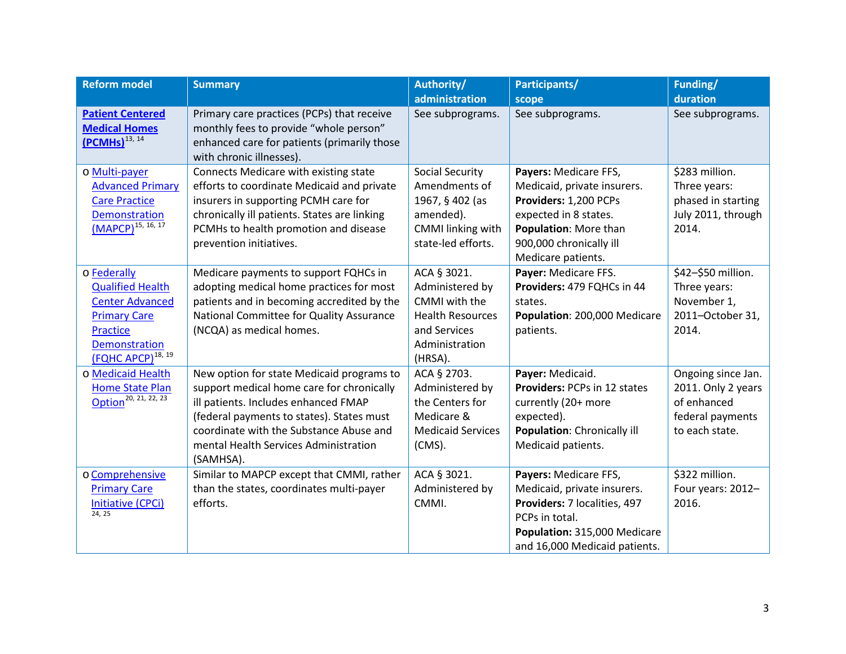<span id="page-2-0"></span>

| <b>Reform model</b>                                                                                                                                      | <b>Summary</b>                                                                                                                                                                                                                                                               | Authority/                                                                                                              | Participants/                                                                                                                                                                    | Funding/                                                                                      |
|----------------------------------------------------------------------------------------------------------------------------------------------------------|------------------------------------------------------------------------------------------------------------------------------------------------------------------------------------------------------------------------------------------------------------------------------|-------------------------------------------------------------------------------------------------------------------------|----------------------------------------------------------------------------------------------------------------------------------------------------------------------------------|-----------------------------------------------------------------------------------------------|
|                                                                                                                                                          |                                                                                                                                                                                                                                                                              | administration                                                                                                          | scope                                                                                                                                                                            | duration                                                                                      |
| <b>Patient Centered</b><br><b>Medical Homes</b><br>$(PCMHS)^{13, 14}$                                                                                    | Primary care practices (PCPs) that receive<br>monthly fees to provide "whole person"<br>enhanced care for patients (primarily those<br>with chronic illnesses).                                                                                                              | See subprograms.                                                                                                        | See subprograms.                                                                                                                                                                 | See subprograms.                                                                              |
| o Multi-payer<br><b>Advanced Primary</b><br><b>Care Practice</b><br><b>Demonstration</b><br>$(MAPCP)^{15, 16, 17}$                                       | Connects Medicare with existing state<br>efforts to coordinate Medicaid and private<br>insurers in supporting PCMH care for<br>chronically ill patients. States are linking<br>PCMHs to health promotion and disease<br>prevention initiatives.                              | <b>Social Security</b><br>Amendments of<br>1967, § 402 (as<br>amended).<br>CMMI linking with<br>state-led efforts.      | Payers: Medicare FFS,<br>Medicaid, private insurers.<br>Providers: 1,200 PCPs<br>expected in 8 states.<br>Population: More than<br>900,000 chronically ill<br>Medicare patients. | \$283 million.<br>Three years:<br>phased in starting<br>July 2011, through<br>2014.           |
| o Federally<br><b>Qualified Health</b><br><b>Center Advanced</b><br><b>Primary Care</b><br>Practice<br><b>Demonstration</b><br><b>(FQHC APCP)</b> 18, 19 | Medicare payments to support FQHCs in<br>adopting medical home practices for most<br>patients and in becoming accredited by the<br>National Committee for Quality Assurance<br>(NCQA) as medical homes.                                                                      | ACA § 3021.<br>Administered by<br>CMMI with the<br><b>Health Resources</b><br>and Services<br>Administration<br>(HRSA). | Payer: Medicare FFS.<br>Providers: 479 FQHCs in 44<br>states.<br>Population: 200,000 Medicare<br>patients.                                                                       | \$42-\$50 million.<br>Three years:<br>November 1,<br>2011-October 31,<br>2014.                |
| o Medicaid Health<br><b>Home State Plan</b><br>Option <sup>20, 21, 22, 23</sup>                                                                          | New option for state Medicaid programs to<br>support medical home care for chronically<br>ill patients. Includes enhanced FMAP<br>(federal payments to states). States must<br>coordinate with the Substance Abuse and<br>mental Health Services Administration<br>(SAMHSA). | ACA § 2703.<br>Administered by<br>the Centers for<br>Medicare &<br><b>Medicaid Services</b><br>$(CMS)$ .                | Payer: Medicaid.<br>Providers: PCPs in 12 states<br>currently (20+ more<br>expected).<br>Population: Chronically ill<br>Medicaid patients.                                       | Ongoing since Jan.<br>2011. Only 2 years<br>of enhanced<br>federal payments<br>to each state. |
| o Comprehensive<br><b>Primary Care</b><br>Initiative (CPCi)<br>24, 25                                                                                    | Similar to MAPCP except that CMMI, rather<br>than the states, coordinates multi-payer<br>efforts.                                                                                                                                                                            | ACA § 3021.<br>Administered by<br>CMMI.                                                                                 | Payers: Medicare FFS,<br>Medicaid, private insurers.<br>Providers: 7 localities, 497<br>PCPs in total.<br>Population: 315,000 Medicare<br>and 16,000 Medicaid patients.          | \$322 million.<br>Four years: 2012-<br>2016.                                                  |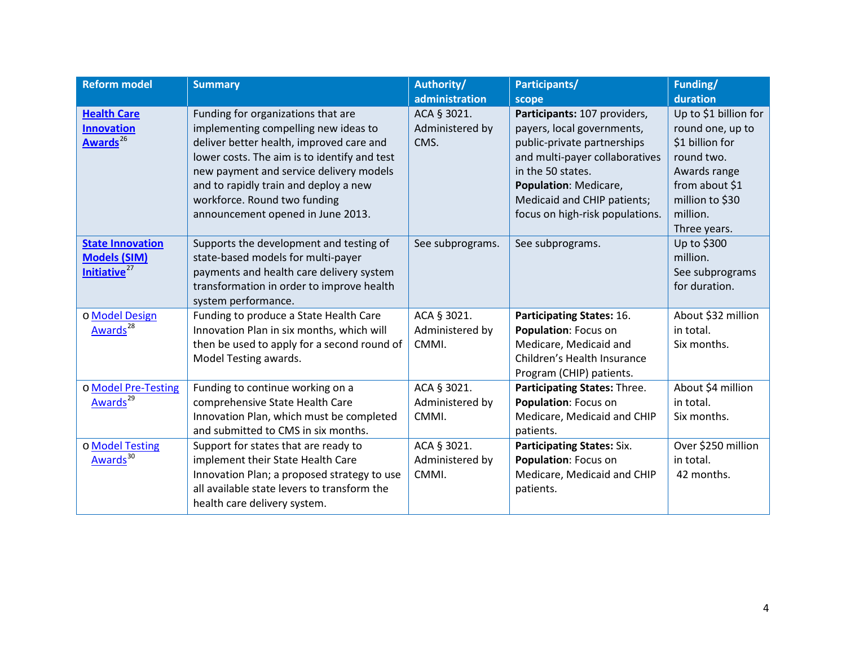<span id="page-3-1"></span><span id="page-3-0"></span>

| <b>Reform model</b>                                                        | <b>Summary</b>                                                                                                                                                                                                                                                                                                                  | Authority/<br>administration            | Participants/<br>scope                                                                                                                                                                                                                      | Funding/<br>duration                                                                                                                                        |
|----------------------------------------------------------------------------|---------------------------------------------------------------------------------------------------------------------------------------------------------------------------------------------------------------------------------------------------------------------------------------------------------------------------------|-----------------------------------------|---------------------------------------------------------------------------------------------------------------------------------------------------------------------------------------------------------------------------------------------|-------------------------------------------------------------------------------------------------------------------------------------------------------------|
| <b>Health Care</b><br><b>Innovation</b><br>Awards <sup>26</sup>            | Funding for organizations that are<br>implementing compelling new ideas to<br>deliver better health, improved care and<br>lower costs. The aim is to identify and test<br>new payment and service delivery models<br>and to rapidly train and deploy a new<br>workforce. Round two funding<br>announcement opened in June 2013. | ACA § 3021.<br>Administered by<br>CMS.  | Participants: 107 providers,<br>payers, local governments,<br>public-private partnerships<br>and multi-payer collaboratives<br>in the 50 states.<br>Population: Medicare,<br>Medicaid and CHIP patients;<br>focus on high-risk populations. | Up to \$1 billion for<br>round one, up to<br>\$1 billion for<br>round two.<br>Awards range<br>from about \$1<br>million to \$30<br>million.<br>Three years. |
| <b>State Innovation</b><br><b>Models (SIM)</b><br>Initiative <sup>27</sup> | Supports the development and testing of<br>state-based models for multi-payer<br>payments and health care delivery system<br>transformation in order to improve health<br>system performance.                                                                                                                                   | See subprograms.                        | See subprograms.                                                                                                                                                                                                                            | Up to \$300<br>million.<br>See subprograms<br>for duration.                                                                                                 |
| o Model Design<br>Awards <sup>28</sup>                                     | Funding to produce a State Health Care<br>Innovation Plan in six months, which will<br>then be used to apply for a second round of<br>Model Testing awards.                                                                                                                                                                     | ACA § 3021.<br>Administered by<br>CMMI. | <b>Participating States: 16.</b><br>Population: Focus on<br>Medicare, Medicaid and<br>Children's Health Insurance<br>Program (CHIP) patients.                                                                                               | About \$32 million<br>in total.<br>Six months.                                                                                                              |
| o Model Pre-Testing<br>Awards <sup>29</sup>                                | Funding to continue working on a<br>comprehensive State Health Care<br>Innovation Plan, which must be completed<br>and submitted to CMS in six months.                                                                                                                                                                          | ACA § 3021.<br>Administered by<br>CMMI. | Participating States: Three.<br>Population: Focus on<br>Medicare, Medicaid and CHIP<br>patients.                                                                                                                                            | About \$4 million<br>in total.<br>Six months.                                                                                                               |
| o Model Testing<br>Awards <sup>30</sup>                                    | Support for states that are ready to<br>implement their State Health Care<br>Innovation Plan; a proposed strategy to use<br>all available state levers to transform the<br>health care delivery system.                                                                                                                         | ACA § 3021.<br>Administered by<br>CMMI. | <b>Participating States: Six.</b><br>Population: Focus on<br>Medicare, Medicaid and CHIP<br>patients.                                                                                                                                       | Over \$250 million<br>in total.<br>42 months.                                                                                                               |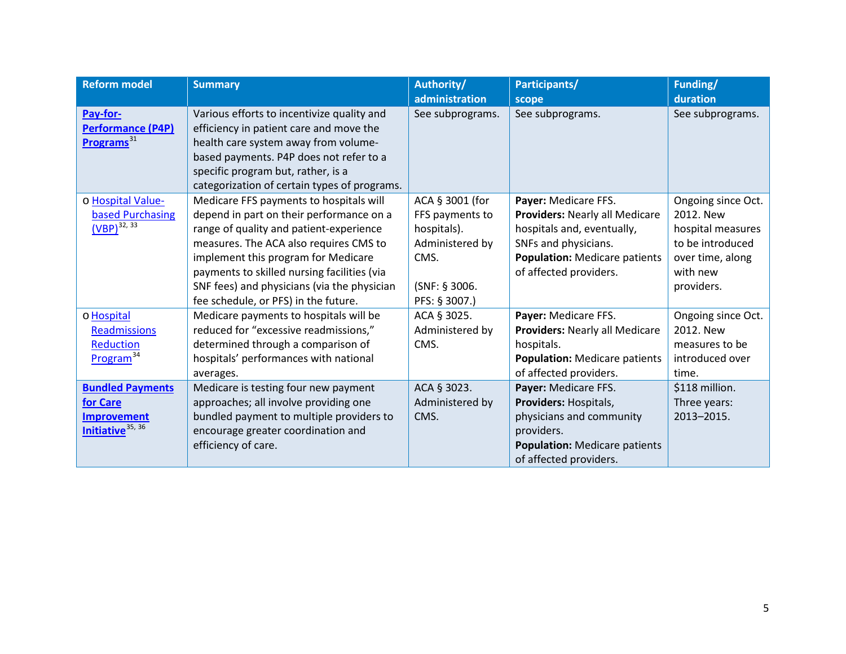<span id="page-4-1"></span><span id="page-4-0"></span>

| <b>Reform model</b>          | <b>Summary</b>                               | Authority/       | Participants/                        | Funding/           |
|------------------------------|----------------------------------------------|------------------|--------------------------------------|--------------------|
|                              |                                              | administration   | scope                                | duration           |
| Pay-for-                     | Various efforts to incentivize quality and   | See subprograms. | See subprograms.                     | See subprograms.   |
| <b>Performance (P4P)</b>     | efficiency in patient care and move the      |                  |                                      |                    |
| Programs <sup>31</sup>       | health care system away from volume-         |                  |                                      |                    |
|                              | based payments. P4P does not refer to a      |                  |                                      |                    |
|                              | specific program but, rather, is a           |                  |                                      |                    |
|                              | categorization of certain types of programs. |                  |                                      |                    |
| o Hospital Value-            | Medicare FFS payments to hospitals will      | ACA § 3001 (for  | Payer: Medicare FFS.                 | Ongoing since Oct. |
| based Purchasing             | depend in part on their performance on a     | FFS payments to  | Providers: Nearly all Medicare       | 2012. New          |
| $(VBP)^{32, 33}$             | range of quality and patient-experience      | hospitals).      | hospitals and, eventually,           | hospital measures  |
|                              | measures. The ACA also requires CMS to       | Administered by  | SNFs and physicians.                 | to be introduced   |
|                              | implement this program for Medicare          | CMS.             | <b>Population: Medicare patients</b> | over time, along   |
|                              | payments to skilled nursing facilities (via  |                  | of affected providers.               | with new           |
|                              | SNF fees) and physicians (via the physician  | (SNF: § 3006.    |                                      | providers.         |
|                              | fee schedule, or PFS) in the future.         | PFS: § 3007.)    |                                      |                    |
| o Hospital                   | Medicare payments to hospitals will be       | ACA § 3025.      | Payer: Medicare FFS.                 | Ongoing since Oct. |
| <b>Readmissions</b>          | reduced for "excessive readmissions,"        | Administered by  | Providers: Nearly all Medicare       | 2012. New          |
| <b>Reduction</b>             | determined through a comparison of           | CMS.             | hospitals.                           | measures to be     |
| Program <sup>34</sup>        | hospitals' performances with national        |                  | <b>Population: Medicare patients</b> | introduced over    |
|                              | averages.                                    |                  | of affected providers.               | time.              |
| <b>Bundled Payments</b>      | Medicare is testing four new payment         | ACA § 3023.      | Payer: Medicare FFS.                 | \$118 million.     |
| for Care                     | approaches; all involve providing one        | Administered by  | Providers: Hospitals,                | Three years:       |
| <b>Improvement</b>           | bundled payment to multiple providers to     | CMS.             | physicians and community             | 2013-2015.         |
| Initiative <sup>35, 36</sup> | encourage greater coordination and           |                  | providers.                           |                    |
|                              | efficiency of care.                          |                  | <b>Population: Medicare patients</b> |                    |
|                              |                                              |                  | of affected providers.               |                    |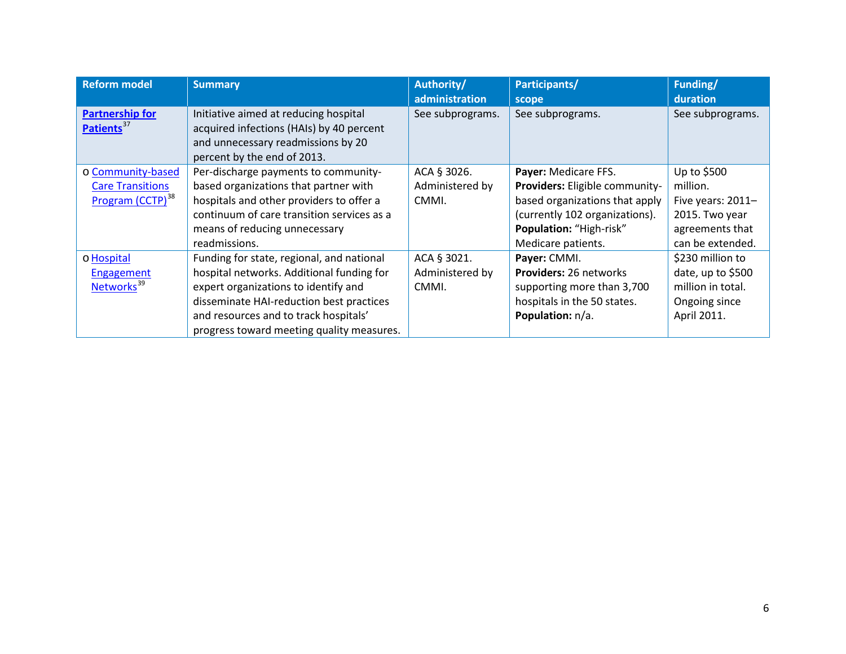<span id="page-5-39"></span><span id="page-5-38"></span><span id="page-5-37"></span><span id="page-5-36"></span><span id="page-5-35"></span><span id="page-5-34"></span><span id="page-5-33"></span><span id="page-5-32"></span><span id="page-5-31"></span><span id="page-5-30"></span><span id="page-5-29"></span><span id="page-5-28"></span><span id="page-5-27"></span><span id="page-5-26"></span><span id="page-5-25"></span><span id="page-5-24"></span><span id="page-5-23"></span><span id="page-5-22"></span><span id="page-5-21"></span><span id="page-5-20"></span><span id="page-5-19"></span><span id="page-5-18"></span><span id="page-5-17"></span><span id="page-5-16"></span><span id="page-5-15"></span><span id="page-5-14"></span><span id="page-5-13"></span><span id="page-5-12"></span><span id="page-5-11"></span><span id="page-5-10"></span><span id="page-5-9"></span><span id="page-5-8"></span><span id="page-5-7"></span><span id="page-5-6"></span><span id="page-5-5"></span><span id="page-5-4"></span><span id="page-5-3"></span><span id="page-5-2"></span><span id="page-5-1"></span><span id="page-5-0"></span>

| <b>Reform model</b>          | <b>Summary</b>                             | Authority/       | Participants/                  | Funding/          |
|------------------------------|--------------------------------------------|------------------|--------------------------------|-------------------|
|                              |                                            | administration   | scope                          | duration          |
| <b>Partnership for</b>       | Initiative aimed at reducing hospital      | See subprograms. | See subprograms.               | See subprograms.  |
| Patients <sup>37</sup>       | acquired infections (HAIs) by 40 percent   |                  |                                |                   |
|                              | and unnecessary readmissions by 20         |                  |                                |                   |
|                              | percent by the end of 2013.                |                  |                                |                   |
| o Community-based            | Per-discharge payments to community-       | ACA § 3026.      | Payer: Medicare FFS.           | Up to \$500       |
| <b>Care Transitions</b>      | based organizations that partner with      | Administered by  | Providers: Eligible community- | million.          |
| Program (CCTP) <sup>38</sup> | hospitals and other providers to offer a   | CMMI.            | based organizations that apply | Five years: 2011- |
|                              | continuum of care transition services as a |                  | (currently 102 organizations). | 2015. Two year    |
|                              | means of reducing unnecessary              |                  | Population: "High-risk"        | agreements that   |
|                              | readmissions.                              |                  | Medicare patients.             | can be extended.  |
| o Hospital                   | Funding for state, regional, and national  | ACA § 3021.      | Payer: CMMI.                   | \$230 million to  |
| <b>Engagement</b>            | hospital networks. Additional funding for  | Administered by  | Providers: 26 networks         | date, up to \$500 |
| Networks <sup>39</sup>       | expert organizations to identify and       | CMMI.            | supporting more than 3,700     | million in total. |
|                              | disseminate HAI-reduction best practices   |                  | hospitals in the 50 states.    | Ongoing since     |
|                              | and resources and to track hospitals'      |                  | Population: n/a.               | April 2011.       |
|                              | progress toward meeting quality measures.  |                  |                                |                   |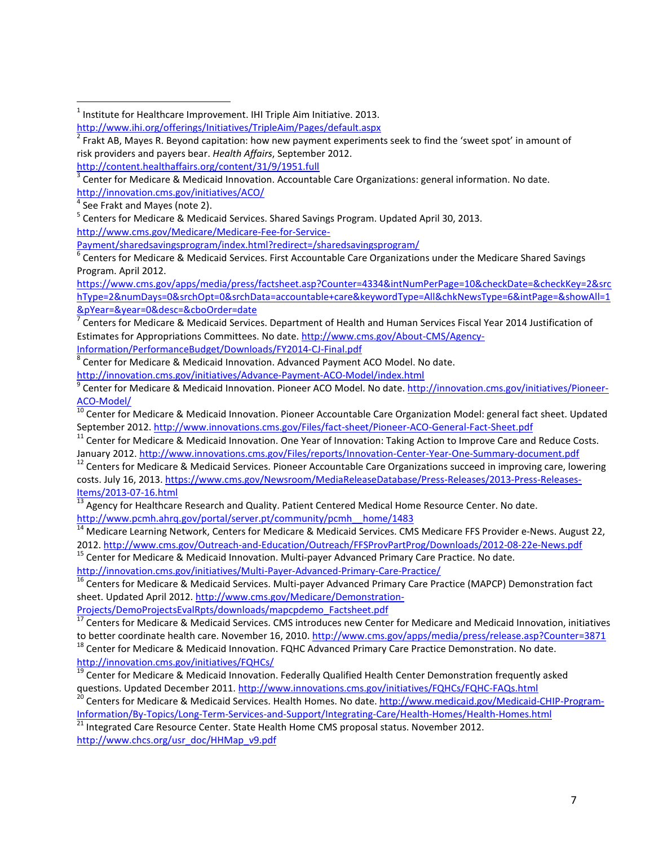<http://innovation.cms.gov/initiatives/ACO/><br><sup>4</sup> See Frakt and Mayes (note 2).

 $^5$  Centers for Medicare & Medicaid Services. Shared Savings Program. Updated April 30, 2013.

[http://www.cms.gov/Medicare/Medicare-Fee-for-Service-](http://www.cms.gov/Medicare/Medicare-Fee-for-Service-Payment/sharedsavingsprogram/index.html?redirect=/sharedsavingsprogram/)

[Payment/sharedsavingsprogram/index.html?redirect=/sharedsavingsprogram/](http://www.cms.gov/Medicare/Medicare-Fee-for-Service-Payment/sharedsavingsprogram/index.html?redirect=/sharedsavingsprogram/)<br><sup>6</sup> Centers for Medicare & Medicaid Services. First Accountable Care Organizations under the Medicare Shared Savings Program. April 2012.

[https://www.cms.gov/apps/media/press/factsheet.asp?Counter=4334&intNumPerPage=10&checkDate=&checkKey=2&src](https://www.cms.gov/apps/media/press/factsheet.asp?Counter=4334&intNumPerPage=10&checkDate=&checkKey=2&srchType=2&numDays=0&srchOpt=0&srchData=accountable+care&keywordType=All&chkNewsType=6&intPage=&showAll=1&pYear=&year=0&desc=&cboOrder=date) [hType=2&numDays=0&srchOpt=0&srchData=accountable+care&keywordType=All&chkNewsType=6&intPage=&showAll=1](https://www.cms.gov/apps/media/press/factsheet.asp?Counter=4334&intNumPerPage=10&checkDate=&checkKey=2&srchType=2&numDays=0&srchOpt=0&srchData=accountable+care&keywordType=All&chkNewsType=6&intPage=&showAll=1&pYear=&year=0&desc=&cboOrder=date) [&pYear=&year=0&desc=&cboOrder=date](https://www.cms.gov/apps/media/press/factsheet.asp?Counter=4334&intNumPerPage=10&checkDate=&checkKey=2&srchType=2&numDays=0&srchOpt=0&srchData=accountable+care&keywordType=All&chkNewsType=6&intPage=&showAll=1&pYear=&year=0&desc=&cboOrder=date)

<sup>7</sup> Centers for Medicare & Medicaid Services. Department of Health and Human Services Fiscal Year 2014 Justification of Estimates for Appropriations Committees. No date[. http://www.cms.gov/About-CMS/Agency-](http://www.cms.gov/About-CMS/Agency-Information/PerformanceBudget/Downloads/FY2014-CJ-Final.pdf)

[Information/PerformanceBudget/Downloads/FY2014-CJ-Final.pdf](http://www.cms.gov/About-CMS/Agency-Information/PerformanceBudget/Downloads/FY2014-CJ-Final.pdf)<br><sup>8</sup> Center for Medicare & Medicaid Innovation. Advanced Payment ACO Model. No date.

<http://innovation.cms.gov/initiatives/Advance-Payment-ACO-Model/index.html><br><sup>9</sup> Center for Medicare & Medicaid Innovation. Pioneer ACO Model. No date. http://innovation.cms.gov/initiatives/Pioneer-<br>ACO-Model/

<sup>10</sup> Center for Medicare & Medicaid Innovation. Pioneer Accountable Care Organization Model: general fact sheet. Updated

September 2012.<http://www.innovations.cms.gov/Files/fact-sheet/Pioneer-ACO-General-Fact-Sheet.pdf><br><sup>11</sup> Center for Medicare & Medicaid Innovation. One Year of Innovation: Taking Action to Improve Care and Reduce Costs.<br>Jan

<sup>12</sup> Centers for Medicare & Medicaid Services. Pioneer Accountable Care Organizations succeed in improving care, lowering costs. July 16, 2013. [https://www.cms.gov/Newsroom/MediaReleaseDatabase/Press-Releases/2013-Press-Releases-](https://www.cms.gov/Newsroom/MediaReleaseDatabase/Press-Releases/2013-Press-Releases-Items/2013-07-16.html)

[Items/2013-07-16.html](https://www.cms.gov/Newsroom/MediaReleaseDatabase/Press-Releases/2013-Press-Releases-Items/2013-07-16.html)<br><sup>13</sup> Agency for Healthcare Research and Quality. Patient Centered Medical Home Resource Center. No date. [http://www.pcmh.ahrq.gov/portal/server.pt/community/pcmh\\_\\_home/1483](http://www.pcmh.ahrq.gov/portal/server.pt/community/pcmh__home/1483)

<sup>14</sup> Medicare Learning Network, Centers for Medicare & Medicaid Services. CMS Medicare FFS Provider e-News. August 22, 2012.<http://www.cms.gov/Outreach-and-Education/Outreach/FFSProvPartProg/Downloads/2012-08-22e-News.pdf> 15 Center for Medicare & Medicaid Innovation. Multi-payer Advanced Primary Care Practice. No date.

<http://innovation.cms.gov/initiatives/Multi-Payer-Advanced-Primary-Care-Practice/><br><sup>16</sup> Centers for Medicare & Medicaid Services. Multi-payer Advanced Primary Care Practice (MAPCP) Demonstration fact

sheet. Updated April 2012. [http://www.cms.gov/Medicare/Demonstration-](http://www.cms.gov/Medicare/Demonstration-Projects/DemoProjectsEvalRpts/downloads/mapcpdemo_Factsheet.pdf)[Projects/DemoProjectsEvalRpts/downloads/mapcpdemo\\_Factsheet.pdf](http://www.cms.gov/Medicare/Demonstration-Projects/DemoProjectsEvalRpts/downloads/mapcpdemo_Factsheet.pdf)

<sup>17</sup> Centers for Medicare & Medicaid Services. CMS introduces new Center for Medicare and Medicaid Innovation, initiatives<br>to better coordinate health care. November 16, 2010. http://www.cms.gov/apps/media/press/release.as

 $18$  Center for Medicare & Medicaid Innovation. FQHC Advanced Primary Care Practice Demonstration. No date. <http://innovation.cms.gov/initiatives/FQHCs/>

<sup>19</sup> Center for Medicare & Medicaid Innovation. Federally Qualified Health Center Demonstration frequently asked

questions. Updated December 2011.<http://www.innovations.cms.gov/initiatives/FQHCs/FQHC-FAQs.html> 20 Centers for Medicare & Medicaid Services. Health Homes. No date[. http://www.medicaid.gov/Medicaid-CHIP-Program-](http://www.medicaid.gov/Medicaid-CHIP-Program-Information/By-Topics/Long-Term-Services-and-Support/Integrating-Care/Health-Homes/Health-Homes.html)[Information/By-Topics/Long-Term-Services-and-Support/Integrating-Care/Health-Homes/Health-Homes.html](http://www.medicaid.gov/Medicaid-CHIP-Program-Information/By-Topics/Long-Term-Services-and-Support/Integrating-Care/Health-Homes/Health-Homes.html) <sup>21</sup> Integrated Care Resource Center. State Health Home CMS proposal status. November 2012.

[http://www.chcs.org/usr\\_doc/HHMap\\_v9.pdf](http://www.chcs.org/usr_doc/HHMap_v9.pdf)

 $1$  Institute for Healthcare Improvement. IHI Triple Aim Initiative. 2013. <http://www.ihi.org/offerings/Initiatives/TripleAim/Pages/default.aspx>

<sup>&</sup>lt;sup>2</sup> Frakt AB, Mayes R. Beyond capitation: how new payment experiments seek to find the 'sweet spot' in amount of risk providers and payers bear. *Health Affairs*, September 2012. <http://content.healthaffairs.org/content/31/9/1951.full>

 $3$  Center for Medicare & Medicaid Innovation. Accountable Care Organizations: general information. No date.